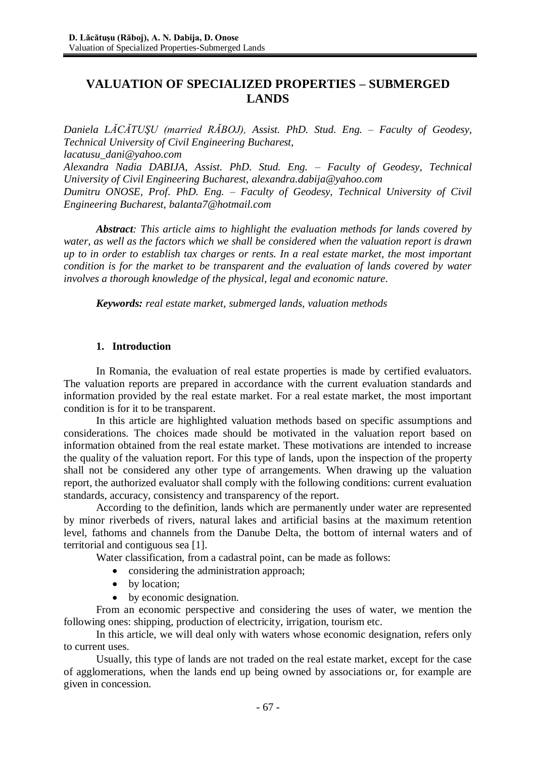# **VALUATION OF SPECIALIZED PROPERTIES – SUBMERGED LANDS**

*Daniela LĂCĂTUŞU (married RĂBOJ), Assist. PhD. Stud. Eng. – Faculty of Geodesy, Technical University of Civil Engineering Bucharest, [lacatusu\\_dani@yahoo.com](mailto:lacatusu_dani@yahoo.com) Alexandra Nadia DABIJA, Assist. PhD. Stud. Eng. – Faculty of Geodesy, Technical University of Civil Engineering Bucharest, [alexandra.dabija@yahoo.com](mailto:alexandra.dabija@yahoo.com)*

*Dumitru ONOSE, Prof. PhD. Eng. – Faculty of Geodesy, Technical University of Civil Engineering Bucharest, [balanta7@hotmail.com](mailto:balanta7@hotmail.com)*

*Abstract: This article aims to highlight the evaluation methods for lands covered by water, as well as the factors which we shall be considered when the valuation report is drawn up to in order to establish tax charges or rents. In a real estate market, the most important condition is for the market to be transparent and the evaluation of lands covered by water involves a thorough knowledge of the physical, legal and economic nature*.

*Keywords: real estate market, submerged lands, valuation methods*

## **1. Introduction**

In Romania, the evaluation of real estate properties is made by certified evaluators. The valuation reports are prepared in accordance with the current evaluation standards and information provided by the real estate market. For a real estate market, the most important condition is for it to be transparent.

In this article are highlighted valuation methods based on specific assumptions and considerations. The choices made should be motivated in the valuation report based on information obtained from the real estate market. These motivations are intended to increase the quality of the valuation report. For this type of lands, upon the inspection of the property shall not be considered any other type of arrangements. When drawing up the valuation report, the authorized evaluator shall comply with the following conditions: current evaluation standards, accuracy, consistency and transparency of the report.

According to the definition, lands which are permanently under water are represented by minor riverbeds of rivers, natural lakes and artificial basins at the maximum retention level, fathoms and channels from the Danube Delta, the bottom of internal waters and of territorial and contiguous sea [1].

Water classification, from a cadastral point, can be made as follows:

- considering the administration approach;
- by location;
- by economic designation.

From an economic perspective and considering the uses of water, we mention the following ones: shipping, production of electricity, irrigation, tourism etc.

In this article, we will deal only with waters whose economic designation, refers only to current uses.

Usually, this type of lands are not traded on the real estate market, except for the case of agglomerations, when the lands end up being owned by associations or, for example are given in concession.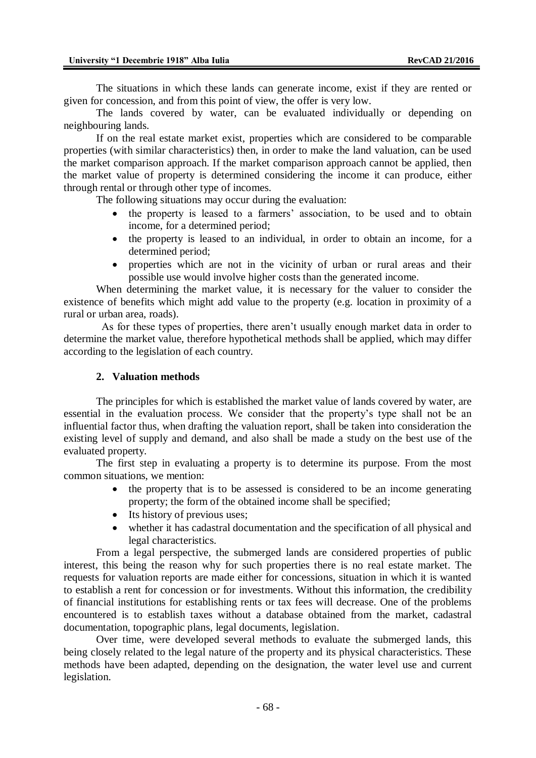The situations in which these lands can generate income, exist if they are rented or given for concession, and from this point of view, the offer is very low.

The lands covered by water, can be evaluated individually or depending on neighbouring lands.

If on the real estate market exist, properties which are considered to be comparable properties (with similar characteristics) then, in order to make the land valuation, can be used the market comparison approach. If the market comparison approach cannot be applied, then the market value of property is determined considering the income it can produce, either through rental or through other type of incomes.

The following situations may occur during the evaluation:

- the property is leased to a farmers' association, to be used and to obtain income, for a determined period;
- the property is leased to an individual, in order to obtain an income, for a determined period;
- properties which are not in the vicinity of urban or rural areas and their possible use would involve higher costs than the generated income.

When determining the market value, it is necessary for the valuer to consider the existence of benefits which might add value to the property (e.g. location in proximity of a rural or urban area, roads).

 As for these types of properties, there aren't usually enough market data in order to determine the market value, therefore hypothetical methods shall be applied, which may differ according to the legislation of each country.

#### **2. Valuation methods**

The principles for which is established the market value of lands covered by water, are essential in the evaluation process. We consider that the property's type shall not be an influential factor thus, when drafting the valuation report, shall be taken into consideration the existing level of supply and demand, and also shall be made a study on the best use of the evaluated property.

The first step in evaluating a property is to determine its purpose. From the most common situations, we mention:

- the property that is to be assessed is considered to be an income generating property; the form of the obtained income shall be specified;
- Its history of previous uses;
- whether it has cadastral documentation and the specification of all physical and legal characteristics.

From a legal perspective, the submerged lands are considered properties of public interest, this being the reason why for such properties there is no real estate market. The requests for valuation reports are made either for concessions, situation in which it is wanted to establish a rent for concession or for investments. Without this information, the credibility of financial institutions for establishing rents or tax fees will decrease. One of the problems encountered is to establish taxes without a database obtained from the market, cadastral documentation, topographic plans, legal documents, legislation.

Over time, were developed several methods to evaluate the submerged lands, this being closely related to the legal nature of the property and its physical characteristics. These methods have been adapted, depending on the designation, the water level use and current legislation.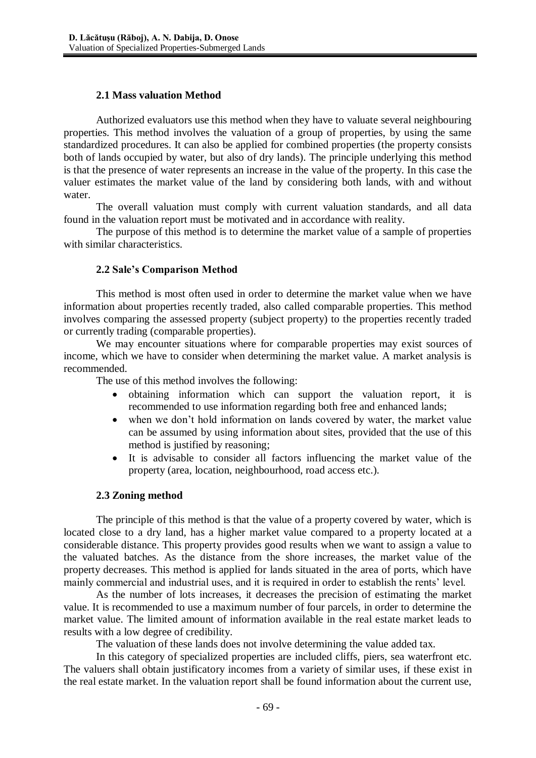## **2.1 Mass valuation Method**

Authorized evaluators use this method when they have to valuate several neighbouring properties. This method involves the valuation of a group of properties, by using the same standardized procedures. It can also be applied for combined properties (the property consists both of lands occupied by water, but also of dry lands). The principle underlying this method is that the presence of water represents an increase in the value of the property. In this case the valuer estimates the market value of the land by considering both lands, with and without water.

The overall valuation must comply with current valuation standards, and all data found in the valuation report must be motivated and in accordance with reality.

The purpose of this method is to determine the market value of a sample of properties with similar characteristics.

## **2.2 Sale's Comparison Method**

This method is most often used in order to determine the market value when we have information about properties recently traded, also called comparable properties. This method involves comparing the assessed property (subject property) to the properties recently traded or currently trading (comparable properties).

We may encounter situations where for comparable properties may exist sources of income, which we have to consider when determining the market value. A market analysis is recommended.

The use of this method involves the following:

- obtaining information which can support the valuation report, it is recommended to use information regarding both free and enhanced lands;
- when we don't hold information on lands covered by water, the market value can be assumed by using information about sites, provided that the use of this method is justified by reasoning;
- It is advisable to consider all factors influencing the market value of the property (area, location, neighbourhood, road access etc.).

## **2.3 Zoning method**

The principle of this method is that the value of a property covered by water, which is located close to a dry land, has a higher market value compared to a property located at a considerable distance. This property provides good results when we want to assign a value to the valuated batches. As the distance from the shore increases, the market value of the property decreases. This method is applied for lands situated in the area of ports, which have mainly commercial and industrial uses, and it is required in order to establish the rents' level.

As the number of lots increases, it decreases the precision of estimating the market value. It is recommended to use a maximum number of four parcels, in order to determine the market value. The limited amount of information available in the real estate market leads to results with a low degree of credibility.

The valuation of these lands does not involve determining the value added tax.

In this category of specialized properties are included cliffs, piers, sea waterfront etc. The valuers shall obtain justificatory incomes from a variety of similar uses, if these exist in the real estate market. In the valuation report shall be found information about the current use,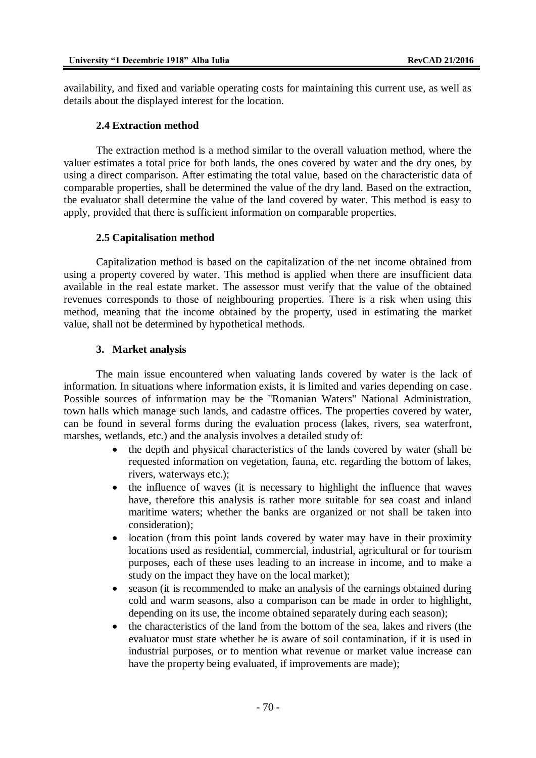availability, and fixed and variable operating costs for maintaining this current use, as well as details about the displayed interest for the location.

### **2.4 Extraction method**

The extraction method is a method similar to the overall valuation method, where the valuer estimates a total price for both lands, the ones covered by water and the dry ones, by using a direct comparison. After estimating the total value, based on the characteristic data of comparable properties, shall be determined the value of the dry land. Based on the extraction, the evaluator shall determine the value of the land covered by water. This method is easy to apply, provided that there is sufficient information on comparable properties.

## **2.5 Capitalisation method**

Capitalization method is based on the capitalization of the net income obtained from using a property covered by water. This method is applied when there are insufficient data available in the real estate market. The assessor must verify that the value of the obtained revenues corresponds to those of neighbouring properties. There is a risk when using this method, meaning that the income obtained by the property, used in estimating the market value, shall not be determined by hypothetical methods.

## **3. Market analysis**

The main issue encountered when valuating lands covered by water is the lack of information. In situations where information exists, it is limited and varies depending on case. Possible sources of information may be the "Romanian Waters" National Administration, town halls which manage such lands, and cadastre offices. The properties covered by water, can be found in several forms during the evaluation process (lakes, rivers, sea waterfront, marshes, wetlands, etc.) and the analysis involves a detailed study of:

- the depth and physical characteristics of the lands covered by water (shall be requested information on vegetation, fauna, etc. regarding the bottom of lakes, rivers, waterways etc.);
- the influence of waves (it is necessary to highlight the influence that waves have, therefore this analysis is rather more suitable for sea coast and inland maritime waters; whether the banks are organized or not shall be taken into consideration);
- location (from this point lands covered by water may have in their proximity locations used as residential, commercial, industrial, agricultural or for tourism purposes, each of these uses leading to an increase in income, and to make a study on the impact they have on the local market);
- season (it is recommended to make an analysis of the earnings obtained during cold and warm seasons, also a comparison can be made in order to highlight, depending on its use, the income obtained separately during each season);
- the characteristics of the land from the bottom of the sea, lakes and rivers (the evaluator must state whether he is aware of soil contamination, if it is used in industrial purposes, or to mention what revenue or market value increase can have the property being evaluated, if improvements are made);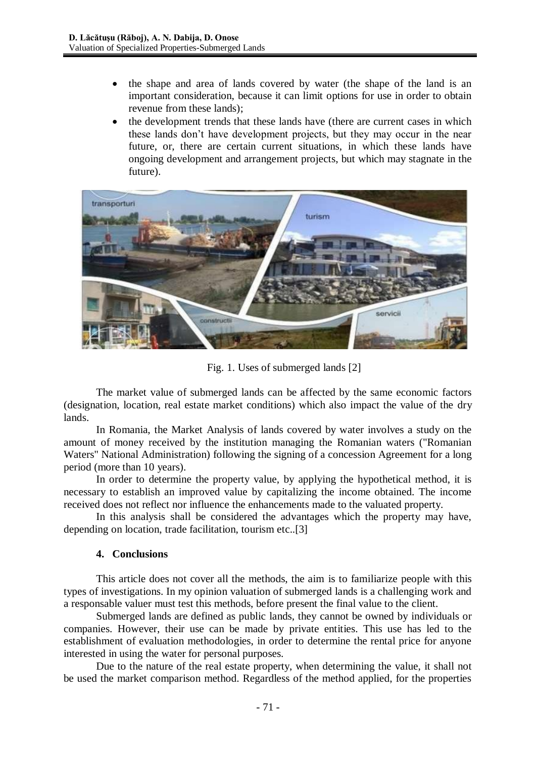- the shape and area of lands covered by water (the shape of the land is an important consideration, because it can limit options for use in order to obtain revenue from these lands);
- the development trends that these lands have (there are current cases in which these lands don't have development projects, but they may occur in the near future, or, there are certain current situations, in which these lands have ongoing development and arrangement projects, but which may stagnate in the future).



Fig. 1. Uses of submerged lands [2]

The market value of submerged lands can be affected by the same economic factors (designation, location, real estate market conditions) which also impact the value of the dry lands.

In Romania, the Market Analysis of lands covered by water involves a study on the amount of money received by the institution managing the Romanian waters ("Romanian Waters" National Administration) following the signing of a concession Agreement for a long period (more than 10 years).

In order to determine the property value, by applying the hypothetical method, it is necessary to establish an improved value by capitalizing the income obtained. The income received does not reflect nor influence the enhancements made to the valuated property.

In this analysis shall be considered the advantages which the property may have, depending on location, trade facilitation, tourism etc..[3]

## **4. Conclusions**

This article does not cover all the methods, the aim is to familiarize people with this types of investigations. In my opinion valuation of submerged lands is a challenging work and a responsable valuer must test this methods, before present the final value to the client.

Submerged lands are defined as public lands, they cannot be owned by individuals or companies. However, their use can be made by private entities. This use has led to the establishment of evaluation methodologies, in order to determine the rental price for anyone interested in using the water for personal purposes.

Due to the nature of the real estate property, when determining the value, it shall not be used the market comparison method. Regardless of the method applied, for the properties